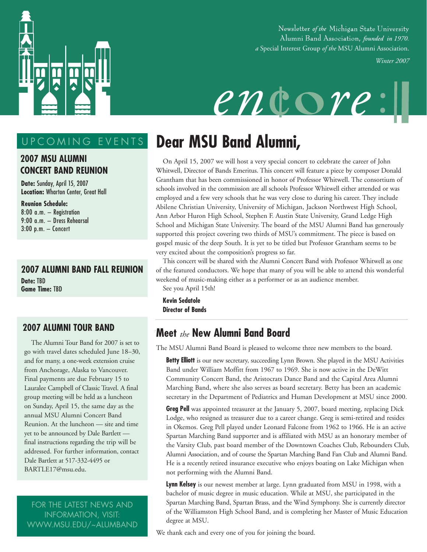

Newsletter of the Michigan State University Alumni Band Association, founded in 1970. *a* Special Interest Group *of the* MSU Alumni Association.

*Winter 2007*



# UPCOMING EVENTS

#### **2007 MSU ALUMNI CONCERT BAND REUNION**

**Date:** Sunday, April 15, 2007 **Location:** Wharton Center, Great Hall

**Reunion Schedule:**  8:00 a.m. — Registration 9:00 a.m. — Dress Rehearsal 3:00 p.m. — Concert

**2007 ALUMNI BAND FALL REUNION Date:** TBD **Game Time:** TBD

#### **2007 ALUMNI TOUR BAND**

The Alumni Tour Band for 2007 is set to go with travel dates scheduled June 18–30, and for many, a one-week extension cruise from Anchorage, Alaska to Vancouver. Final payments are due February 15 to Lauralee Campbell of Classic Travel. A final group meeting will be held as a luncheon on Sunday, April 15, the same day as the annual MSU Alumni Concert Band Reunion. At the luncheon — site and time yet to be announced by Dale Bartlett final instructions regarding the trip will be addressed. For further information, contact Dale Bartlett at 517-332-4495 or BARTLE17@msu.edu.

FOR THE LATEST NEWS AND INFORMATION, VISIT: WWW.MSU.EDU/~ALUMBAND

# **Dear MSU Band Alumni,**

On April 15, 2007 we will host a very special concert to celebrate the career of John Whitwell, Director of Bands Emeritus. This concert will feature a piece by composer Donald Grantham that has been commissioned in honor of Professor Whitwell. The consortium of schools involved in the commission are all schools Professor Whitwell either attended or was employed and a few very schools that he was very close to during his career. They include Abilene Christian University, University of Michigan, Jackson Northwest High School, Ann Arbor Huron High School, Stephen F. Austin State University, Grand Ledge High School and Michigan State University. The board of the MSU Alumni Band has generously supported this project covering two thirds of MSU's commitment. The piece is based on gospel music of the deep South. It is yet to be titled but Professor Grantham seems to be very excited about the composition's progress so far.

This concert will be shared with the Alumni Concert Band with Professor Whitwell as one of the featured conductors. We hope that many of you will be able to attend this wonderful weekend of music-making either as a performer or as an audience member. See you April 15th!

**Kevin Sedatole Director of Bands**

# **Meet** *the* **New Alumni Band Board**

The MSU Alumni Band Board is pleased to welcome three new members to the board.

**Betty Elliott** is our new secretary, succeeding Lynn Brown. She played in the MSU Activities Band under William Moffitt from 1967 to 1969. She is now active in the DeWitt Community Concert Band, the Aristocrats Dance Band and the Capital Area Alumni Marching Band, where she also serves as board secretary. Betty has been an academic secretary in the Department of Pediatrics and Human Development at MSU since 2000.

**Greg Pell** was appointed treasurer at the January 5, 2007, board meeting, replacing Dick Lodge, who resigned as treasurer due to a career change. Greg is semi-retired and resides in Okemos. Greg Pell played under Leonard Falcone from 1962 to 1966. He is an active Spartan Marching Band supporter and is affiliated with MSU as an honorary member of the Varsity Club, past board member of the Downtown Coaches Club, Rebounders Club, Alumni Association, and of course the Spartan Marching Band Fan Club and Alumni Band. He is a recently retired insurance executive who enjoys boating on Lake Michigan when not performing with the Alumni Band.

**Lynn Kelsey** is our newest member at large. Lynn graduated from MSU in 1998, with a bachelor of music degree in music education. While at MSU, she participated in the Spartan Marching Band, Spartan Brass, and the Wind Symphony. She is currently director of the Williamston High School Band, and is completing her Master of Music Education degree at MSU.

We thank each and every one of you for joining the board.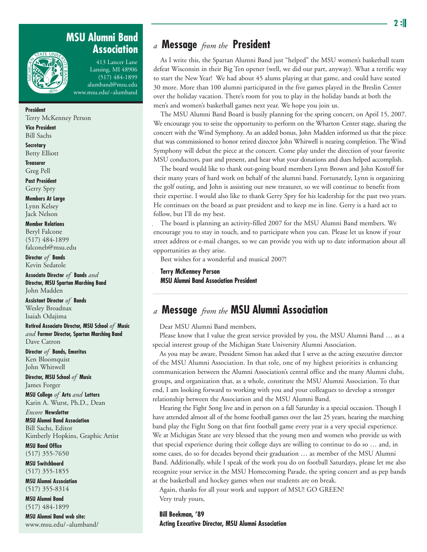#### **MSU Alumni Band Association**



413 Lancer Lane Lansing, MI 48906 (517) 484-1899 alumband@msu.edu www.msu.edu/~alumband

**President** Terry McKenney Person

**Vice President** Bill Sachs

**Secretary** Betty Elliott

**Treasurer** Greg Pell

**Past President** Gerry Spry

**Members At Large** Lynn Kelsey Jack Nelson

#### **Member Relations**

Beryl Falcone (517) 484-1899 falconeb@msu.edu

**Director** *of* **Bands** Kevin Sedatole

**Associate Director** *of* **Bands** *and* **Director, MSU Spartan Marching Band** John Madden

**Assistant Director** *of* **Bands** Wesley Broadnax Isaiah Odajima

**Retired Associate Director, MSU School** *of* **Music**  *and* **Former Director, Spartan Marching Band** Dave Catron

**Director** *of* **Bands, Emeritus** Ken Bloomquist John Whitwell

**Director, MSU School** *of* **Music** James Forger

**MSU College** *of* **Arts** *and* **Letters** Karin A. Wurst, Ph.D., Dean

*Encore* **Newsletter MSU Alumni Band Association** Bill Sachs, Editor Kimberly Hopkins, Graphic Artist

**MSU Band Office** (517) 355-7650

**MSU Switchboard** (517) 355-1855

**MSU Alumni Association** (517) 355-8314

**MSU Alumni Band** (517) 484-1899

**MSU Alumni Band web site:** www.msu.edu/~alumband/

# *a* **Message** *from the* **President**

As I write this, the Spartan Alumni Band just "helped" the MSU women's basketball team defeat Wisconsin in their Big Ten opener (well, we did our part, anyway). What a terrific way to start the New Year! We had about 45 alums playing at that game, and could have seated 30 more. More than 100 alumni participated in the five games played in the Breslin Center over the holiday vacation. There's room for you to play in the holiday bands at both the men's and women's basketball games next year. We hope you join us.

The MSU Alumni Band Board is busily planning for the spring concert, on April 15, 2007. We encourage you to seize the opportunity to perform on the Wharton Center stage, sharing the concert with the Wind Symphony. As an added bonus, John Madden informed us that the piece that was commissioned to honor retired director John Whitwell is nearing completion. The Wind Symphony will debut the piece at the concert. Come play under the direction of your favorite MSU conductors, past and present, and hear what your donations and dues helped accomplish.

The board would like to thank out-going board members Lynn Brown and John Kostoff for their many years of hard work on behalf of the alumni band. Fortunately, Lynn is organizing the golf outing, and John is assisting our new treasurer, so we will continue to benefit from their expertise. I would also like to thank Gerry Spry for his leadership for the past two years. He continues on the board as past president and to keep me in line. Gerry is a hard act to follow, but I'll do my best.

The board is planning an activity-filled 2007 for the MSU Alumni Band members. We encourage you to stay in touch, and to participate when you can. Please let us know if your street address or e-mail changes, so we can provide you with up to date information about all opportunities as they arise.

Best wishes for a wonderful and musical 2007!

**Terry McKenney Person MSU Alumni Band Association President**

### *a* **Message** *from the* **MSU Alumni Association**

Dear MSU Alumni Band members,

Please know that I value the great service provided by you, the MSU Alumni Band … as a special interest group of the Michigan State University Alumni Association.

As you may be aware, President Simon has asked that I serve as the acting executive director of the MSU Alumni Association. In that role, one of my highest priorities is enhancing communication between the Alumni Association's central office and the many Alumni clubs, groups, and organization that, as a whole, constitute the MSU Alumni Association. To that end, I am looking forward to working with you and your colleagues to develop a stronger relationship between the Association and the MSU Alumni Band.

Hearing the Fight Song live and in person on a fall Saturday is a special occasion. Though I have attended almost all of the home football games over the last 25 years, hearing the marching band play the Fight Song on that first football game every year is a very special experience. We at Michigan State are very blessed that the young men and women who provide us with that special experience during their college days are willing to continue to do so … and, in some cases, do so for decades beyond their graduation … as member of the MSU Alumni Band. Additionally, while I speak of the work you do on football Saturdays, please let me also recognize your service in the MSU Homecoming Parade, the spring concert and as pep bands at the basketball and hockey games when our students are on break.

Again, thanks for all your work and support of MSU! GO GREEN! Very truly yours,

**Bill Beekman, '89 Acting Executive Director, MSU Alumni Association**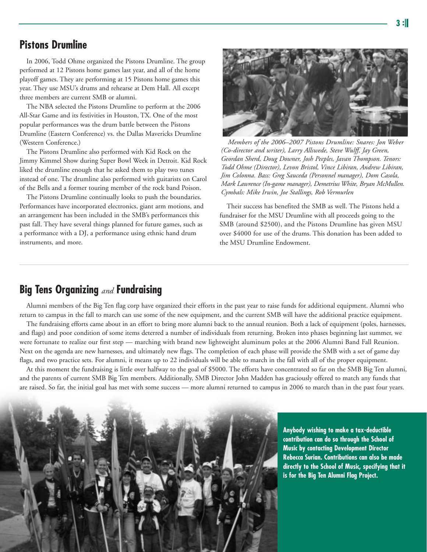#### **Pistons Drumline**

In 2006, Todd Ohme organized the Pistons Drumline. The group performed at 12 Pistons home games last year, and all of the home playoff games. They are performing at 15 Pistons home games this year. They use MSU's drums and rehearse at Dem Hall. All except three members are current SMB or alumni.

The NBA selected the Pistons Drumline to perform at the 2006 All-Star Game and its festivities in Houston, TX. One of the most popular performances was the drum battle between the Pistons Drumline (Eastern Conference) vs. the Dallas Mavericks Drumline (Western Conference.)

The Pistons Drumline also performed with Kid Rock on the Jimmy Kimmel Show during Super Bowl Week in Detroit. Kid Rock liked the drumline enough that he asked them to play two tunes instead of one. The drumline also performed with guitarists on Carol of the Bells and a former touring member of the rock band Poison.

The Pistons Drumline continually looks to push the boundaries. Performances have incorporated electronics, giant arm motions, and an arrangement has been included in the SMB's performances this past fall. They have several things planned for future games, such as a performance with a DJ, a performance using ethnic hand drum instruments, and more.



*Members of the 2006–2007 Pistons Drumline: Snares: Jon Weber (Co-director and writer), Larry Allswede, Steve Wulff, Jay Green, Geordan Sherd, Doug Downer, Josh Peeples, Javan Thompson. Tenors: Todd Ohme (Director), Levon Bristol, Vince Libiran, Andrew Libiran, Jim Colonna. Bass: Greg Sauceda (Personnel manager), Dom Casola, Mark Lawrence (In-game manager), Demetrius White, Bryan McMullen. Cymbals: Mike Irwin, Joe Stallings, Rob Vermurlen*

Their success has benefited the SMB as well. The Pistons held a fundraiser for the MSU Drumline with all proceeds going to the SMB (around \$2500), and the Pistons Drumline has given MSU over \$4000 for use of the drums. This donation has been added to the MSU Drumline Endowment.

# **Big Tens Organizing** *and* **Fundraising**

Alumni members of the Big Ten flag corp have organized their efforts in the past year to raise funds for additional equipment. Alumni who return to campus in the fall to march can use some of the new equipment, and the current SMB will have the additional practice equipment.

The fundraising efforts came about in an effort to bring more alumni back to the annual reunion. Both a lack of equipment (poles, harnesses, and flags) and poor condition of some items deterred a number of individuals from returning. Broken into phases beginning last summer, we were fortunate to realize our first step — marching with brand new lightweight aluminum poles at the 2006 Alumni Band Fall Reunion. Next on the agenda are new harnesses, and ultimately new flags. The completion of each phase will provide the SMB with a set of game day flags, and two practice sets. For alumni, it means up to 22 individuals will be able to march in the fall with all of the proper equipment.

At this moment the fundraising is little over halfway to the goal of \$5000. The efforts have concentrated so far on the SMB Big Ten alumni, and the parents of current SMB Big Ten members. Additionally, SMB Director John Madden has graciously offered to match any funds that are raised. So far, the initial goal has met with some success — more alumni returned to campus in 2006 to march than in the past four years.



**Anybody wishing to make a tax-deductible contribution can do so through the School of Music by contacting Development Director Rebecca Surian. Contributions can also be made directly to the School of Music, specifying that it is for the Big Ten Alumni Flag Project.**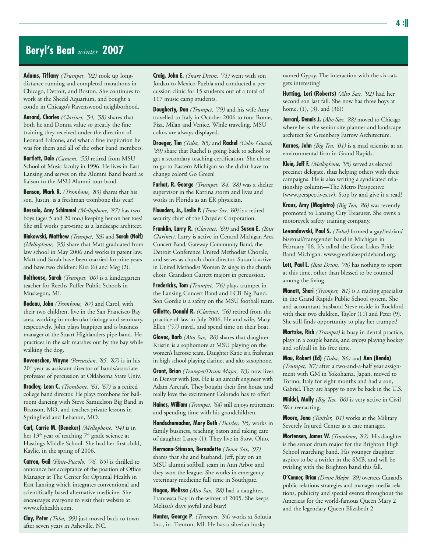#### **Beryl's Beat** *winter* **2007**

**Adams, Tiffany** *(Trumpet, '02)* took up longdistance running and completed marathons in Chicago, Detroit, and Boston. She continues to work at the Shedd Aquarium, and bought a condo in Chicago's Ravenswood neighborhood.

**Aurand, Charles** *(Clarinet, '54, '58)* shares that both he and Donna value so greatly the fine training they received under the direction of Leonard Falcone, and what a fine inspiration he was for them and all of the other band members.

**Bartlett, Dale** *(Camera, '55)* retired from MSU School of Music faculty in 1996. He lives in East Lansing and serves on the Alumni Band board as liaison to the MSU Alumni tour band.

**Benson, Mark R.** *(Trombone, '83)* shares that his son, Justin, is a freshman trombone this year!

**Bessolo, Amy Schimmel** *(Mellophone, '87)* has two boys (ages 5 and 20 mo.) keeping her on her toes! She still works part-time as a landscape architect.

**Binkowski, Matthew** *(Trumpet, '93)* and **Sarah (Nolf)** *(Mellophone, '95)* share that Matt graduated from law school in May 2006 and works in patent law. Matt and Sarah have been married for nine years and have two children: Kira (6) and Meg (2).

**Bolthouse, Sarah** *(Trumpet, '00)* is a kindergarten teacher for Reeths-Puffer Public Schools in Muskegon, MI.

**Bodeau, John** *(Trombone, '87)* and Carol, with their two children, live in the San Francisco Bay area, working in molecular biology and seminary, respectively. John plays bagpipes and is business manager of the Stuart Highlanders pipe band. He practices in the salt marshes out by the bay while walking the dog.

**Bovenschen, Wayne** *(Percussion, '85, '87)* is in his  $20<sup>th</sup>$  year as assistant director of bands/associate professor of percussion at Oklahoma State Univ.

**Bradley, Leon C.** *(Trombone, '61, '67)* is a retired college band director. He plays trombone for ballroom dancing with Steve Samuelson Big Band in Branson, MO, and teaches private lessons in Springfield and Lebanon, MO.

**Carl, Carrie M. (Beneker)** *(Mellophone, '94)* is in her 13<sup>th</sup> year of teaching 7<sup>th</sup> grade science at Hastings Middle School. She had her first child, Kaylie, in the spring of 2006.

**Catron, Gail** *(Flute-Piccolo, '76, '05)* is thrilled to announce her acceptance of the position of Office Manager at The Center for Optimal Health in East Lansing which integrates conventional and scientifically based alternative medicine. She encourages everyone to visit their website at: www.cfohealth.com.

**Clay, Peter** *(Tuba, '99)* just moved back to town after seven years in Asheville, NC.

**Craig, John E.** *(Snare Drum, '71)* went with son Jordan to Mexico Puebla and conducted a percussion clinic for 15 students out of a total of 117 music camp students.

**Dougherty, Don** *(Trumpet, '79)* and his wife Amy travelled to Italy in October 2006 to tour Rome, Pisa, Milan and Venice. While traveling, MSU colors are always displayed.

**Draeger, Tim** *(Tuba, '85)* and **Rachel** *(Color Guard, '89)* share that Rachel is going back to school to get a secondary teaching certification. She chose to go to Eastern Michigan so she didn't have to change colors! Go Green!

**Farhat, R. George** *(Trumpet, '84, '88)* was a shelter supervisor in the Katrina storm and lives and works in Florida as an ER physician.

**Flounders, Jr., Leslie P.** *(Tenor Sax, '60)* is a retired security chief of the Chrysler Corporation.

**Franklin, Larry R.** *(Clarinet, '69)* and **Susan E.** *(Bass Clarinet)*. Larry is active in Central Michigan Area Concert Band, Gateway Community Band, the Detroit Conference United Methodist Chorale, and serves as church choir director. Susan is active in United Methodist Women & sings in the church choir. Grandson Garrett majors in percussion.

**Fredericks, Tom** *(Trumpet, '76)* plays trumpet in the Lansing Concert Band and LCB Big Band. Son Gordie is a safety on the MSU football team.

**Gillette, Donald R.** *(Clarinet, '56)* retired from the practice of law in July 2006. He and wife, Mary Ellen *('57)* travel, and spend time on their boat.

**Glovac, Barb** *(Alto Sax, '80)* shares that daughter Kristin is a sophomore at MSU playing on the women's lacrosse team. Daughter Katie is a freshman in high school playing clarinet and alto saxophone.

**Grant, Brian** *(Trumpet/Drum Major, '03)* now lives in Denver with Jess. He is an aircraft engineer with Adam Aircraft. They bought their first house and really love the excitement Colorado has to offer!

**Haines, William** *(Trumpet, '64)* still enjoys retirement and spending time with his grandchildren.

**Handschumacher, Mary Beth** *(Twirler, '95)* works in family business, teaching baton and taking care of daughter Laney (1). They live in Stow, Ohio.

**Hermann-Stimson, Bernadette** *(Tenor Sax, '97)* shares that she and husband, Jeff, play on an MSU alumni softball team in Ann Arbor and they won the league. She works in emergency veterinary medicine full time in Southgate.

**Hogan, Melissa** *(Alto Sax, '88)* had a daughter, Francesca Kay in the winter of 2005. She keeps Melissa's days joyful and busy!

**Hunter, George P**. *(Trumpet, '94)* works at Solutia Inc., in Trenton, MI. He has a siberian husky

named Gypsy. The interaction with the six cats gets interesting!

**Hutting, Lori (Roberts)** *(Alto Sax, '92)* had her second son last fall. She now has three boys at home, (1), (3), and (36)!

**Jarrard, Dennis J.** *(Alto Sax, '88)* moved to Chicago where he is the senior site planner and landscape architect for Greenberg Farrow Architecture.

**Karnes, John** *(Big Ten, '01)* is a mad scientist at an environmental firm in Grand Rapids.

**Klein, Jeff F.** *(Mellophone, '95)* served as elected precinct delegate, thus helping others with their campaigns. He is also writing a syndicated relationship column—The Metro Perspective (www.perspectives.tv). Stop by and give it a read!

**Kraus, Amy (Magistro)** *(Big Ten, '86)* was recently promoted to Lansing City Treasurer. She owns a motorcycle safety training company.

**Levandowski, Paul S.** *(Tuba)* formed a gay/lesbian/ bisexual/transgender band in Michigan in February '06. It's called the Great Lakes Pride Band Michigan. www.greatlakesprideband.org.

**Lott, Paul L.** *(Bass Drum, '78)* has nothing to report at this time, other than blessed to be counted among the living.

**Manett, Sheri** *(Trumpet, '81)* is a reading specialist in the Grand Rapids Public School system. She and accountant-husband Steve reside in Rockford with their two children, Taylor (11) and Peter (9). She still finds opportunity to play her trumpet!

**Martzke, Rich** *(Trumpet)* is busy in dental practice, plays in a couple bands, and enjoys playing hockey and softball in his free time.

**Mau, Robert (Ed)** *(Tuba, '86)* and **Ann (Benda)** *(Trumpet, '87)* after a two-and-a-half year assignment with GM in Yokohama, Japan, moved to Torino, Italy for eight months and had a son, Gabriel. They are happy to now be back in the U.S.

**Middel, Molly** *(Big Ten, '00)* is very active in Civil War reenacting.

**Moore, Jena** *(Twirler, '01)* works at the Military Severely Injured Center as a care manager.

**Mortensen, James W.** *(Trombone, '82)*. His daughter is the senior drum major for the Brighton High School marching band. His younger daughter aspires to be a twirler in the SMB, and will be twirling with the Brighton band this fall.

**O'Conner, Brian** *(Drum Major, '89)* oversees Cunard's public relations strategies and manages media relations, publicity and special events throughout the Americas for the world-famous Queen Mary 2 and the legendary Queen Elizabeth 2.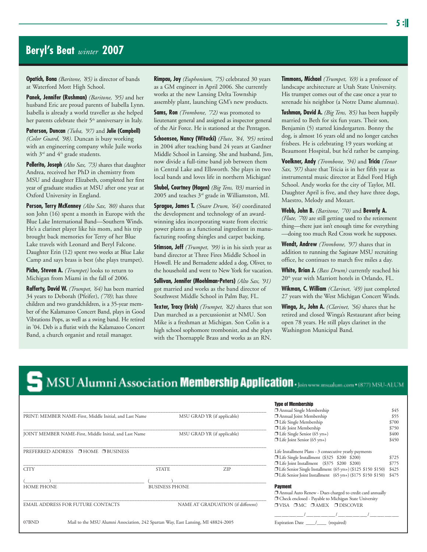### **Beryl's Beat** *winter* **2007**

**Opatich, Bona** *(Baritone, '85)* is director of bands at Waterford Mott High School.

**Panek, Jennifer (Rushman)** *(Baritone, '95)* and her husband Eric are proud parents of Isabella Lynn. Isabella is already a world traveller as she helped her parents celebrate their 5<sup>th</sup> anniversary in Italy.

**Paterson, Duncan** *(Tuba, '97)* and **Julie (Campbell)** *(Color Guard, '98)*. Duncan is busy working with an engineering company while Juile works with  $3<sup>rd</sup>$  and  $4<sup>th</sup>$  grade students.

**Pellerito, Joseph** *(Alto Sax, '73)* shares that daughter Andrea, received her PhD in chemistry from MSU and daughter Elizabeth, completed her first year of graduate studies at MSU after one year at Oxford University in England.

**Person, Terry McKenney** *(Alto Sax, '80)* shares that son John (16) spent a month in Europe with the Blue Lake International Band—Southern Winds. He's a clarinet player like his mom, and his trip brought back memories for Terry of her Blue Lake travels with Leonard and Beryl Falcone. Daughter Erin (12) spent two weeks at Blue Lake Camp and says brass is best (she plays trumpet).

**Piche, Steven A.** *(Trumpet)* looks to return to Michigan from Miami in the fall of 2006.

**Rafferty, David W.** *(Trumpet, '64)* has been married 34 years to Deborah (Pfeifer), *('70)*; has three children and two grandchildren, is a 35-year member of the Kalamazoo Concert Band, plays in Good Vibrations Pops, as well as a swing band. He retired in '04. Deb is a flutist with the Kalamazoo Concert Band, a church organist and retail manager.

**Rimpau, Joy** *(Euphonium, '75)* celebrated 30 years as a GM engineer in April 2006. She currently works at the new Lansing Delta Township assembly plant, launching GM's new products.

**Sams, Ron** *(Trombone, '72)* was promoted to lieutenant general and assigned as inspector general of the Air Force. He is stationed at the Pentagon.

**Schoensee, Nancy (Witucki)** *(Flute, '84, '95)* retired in 2004 after teaching band 24 years at Gardner Middle School in Lansing. She and husband, Jim, now divide a full-time band job between them in Central Lake and Ellsworth. She plays in two local bands and loves life in northern Michigan!

**Shubel, Courtney (Hagen)** *(Big Tens, '03)* married in 2005 and teaches 3rd grade in Williamston, MI.

**Sprague, James T.** *(Snare Drum, '64)* coordinated the development and technology of an awardwinning idea incorporating waste from electric power plants as a functional ingredient in manufacturing roofing shingles and carpet backing.

**Stimson, Jeff** *(Trumpet, '99)* is in his sixth year as band director at Three Fires Middle School in Howell. He and Bernadette added a dog, Oliver, to the household and went to New York for vacation.

**Sullivan, Jennifer (Moehlman-Peters)** *(Alto Sax, '91)* got married and works as the band director of Southwest Middle School in Palm Bay, FL.

**Texter, Tracy (Irish)** *(Trumpet, '82)* shares that son Dan marched as a percussionist at NMU. Son Mike is a freshman at Michigan. Son Colin is a high school sophomore trombonist, and she plays with the Thornapple Brass and works as an RN.

**Timmons, Michael** *(Trumpet, '69)* is a professor of landscape architecture at Utah State University. His trumpet comes out of the case once a year to serenade his neighbor (a Notre Dame alumnus).

**Tushman, David A.** *(Big Tens, '85)* has been happily married to Beth for six fun years. Their son, Benjamin (5) started kindergarten. Bonny the dog, is almost 16 years old and no longer catches frisbees. He is celebrating 19 years working at Beaumont Hospital, but he'd rather be camping.

**Voelkner, Andy** *(Trombone, '94)* and **Tricia** *(Tenor Sax, '97)* share that Tricia is in her fifth year as instrumental music director at Edsel Ford High School. Andy works for the city of Taylor, MI. Daughter April is five, and they have three dogs, Maestro, Melody and Mozart.

**Webb, John B.** *(Baritone, '70)* and **Beverly A.** *(Flute, '70)* are still getting used to the retirement thing—there just isn't enough time for everything —doing too much Red Cross work he supposes.

**Wendt, Andrew** *(Trombone, '97)* shares that in addition to running the Saginaw MSU recruiting office, he continues to march five miles a day.

**White, Brian J.** *(Bass Drum)* currently reached his 20<sup>th</sup> year with Marriott hotels in Orlando, FL.

**Wikman, C. William** *(Clarinet, '49)* just completed 27 years with the West Michigan Concert Winds.

**Winga, Jr., John A.** *(Clarinet, '56)* shares that he retired and closed Winga's Restaurant after being open 78 years. He still plays clarinet in the Washington Municipal Band.

# MSU Alumni Association **Membership Application** . Join www.msualum.com • (877) MSU-ALUM

|                                                                                           |                       |                                   | <b>Type of Membership</b>                                      |       |
|-------------------------------------------------------------------------------------------|-----------------------|-----------------------------------|----------------------------------------------------------------|-------|
|                                                                                           |                       |                                   | Annual Single Membership                                       | \$45  |
| PRINT: MEMBER NAME-First, Middle Initial, and Last Name                                   |                       | MSU GRAD YR (if applicable)       | Annual Joint Membership                                        | \$55  |
|                                                                                           |                       |                                   | $\Box$ Life Single Membership                                  | \$700 |
|                                                                                           |                       |                                   | □ Life Joint Membership                                        | \$750 |
| JOINT MEMBER NAME-First, Middle Initial, and Last Name                                    |                       | MSU GRAD YR (if applicable)       | $\Box$ Life Single Senior (65 yrs+)                            | \$400 |
|                                                                                           |                       |                                   | $\Box$ Life Joint Senior (65 yrs+)                             | \$450 |
| PREFERRED ADDRESS □ HOME □ BUSINESS                                                       |                       |                                   | Life Installment Plans - 3 consecutive yearly payments         |       |
|                                                                                           |                       |                                   | □ Life Single Installment (\$325 \$200 \$200)                  | \$725 |
|                                                                                           |                       |                                   | □ Life Joint Installment (\$375 \$200 \$200)                   | \$775 |
| <b>CITY</b>                                                                               | <b>STATE</b>          | <b>ZIP</b>                        | □ Life Senior Single Installment (65 yrs+) (\$125 \$150 \$150) | \$425 |
|                                                                                           |                       |                                   | □ Life Senior Joint Installment (65 yrs+) (\$175 \$150 \$150)  | \$475 |
|                                                                                           |                       |                                   |                                                                |       |
| <b>HOME PHONE</b>                                                                         | <b>BUSINESS PHONE</b> |                                   | <b>Payment</b>                                                 |       |
|                                                                                           |                       |                                   | □ Annual Auto Renew - Dues charged to credit card annually     |       |
|                                                                                           |                       |                                   | □ Check enclosed - Payable to Michigan State University        |       |
| <b>EMAIL ADDRESS FOR FUTURE CONTACTS</b>                                                  |                       | NAME AT GRADUATION (if different) | $\Box$ VISA $\Box$ MC $\Box$ AMEX $\Box$ DISCOVER              |       |
|                                                                                           |                       |                                   |                                                                |       |
| 07BND<br>Mail to the MSU Alumni Association, 242 Spartan Way, East Lansing, MI 48824-2005 |                       | (required)                        |                                                                |       |